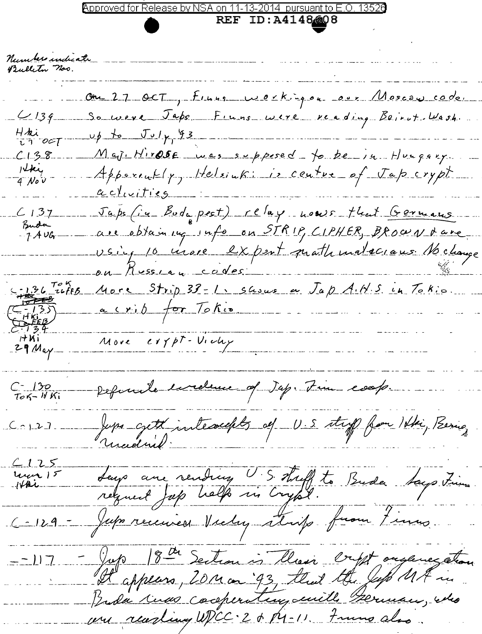## 2014 pursuant to

**REF ID:A4148608** 

Number undicate Bulleton nos. Ou 27 OCT, Finns weekingou even Moscow code.<br>So were Japs Finns were reading Beirot Wash.  $4139$ Hhi<br>Ti ocl  $\nu \phi$  to  $J_{\nu}/\gamma$  93 Maj Hirose was supposed to be in Hungary.  $C138$ stki<br>4 Nov -<u>activities</u> Japs (in Budapest) relay nouse that Germans<br>are obtaining into on STRIP, CIPHER, BROWN dave  $C137$ Buda  $-7A\,\nu$ Gr ou Russiau codes  $-13670K$ More Strip 33 - 1, susus a Jap A.H.S. in Tokis a crip for Tokio  $-135$ <br> $+1612$ <br> $+225$ More expt-Victey  $H$ Ki  $29$  Mayrefunde inclune of Jap. Fin coop. C - 130<br>Tok- WKi Jupa cycle interactes of U.S. stap from His, Bering  $C_1 \cap L_2$  $C125$ Leup aux rending U.S. Treff to Buda Says Firmes Luca 15 C-129 - Jupa received Victoy strip from Finno - Jop 18th Section is thesi cript organization  $= -117$